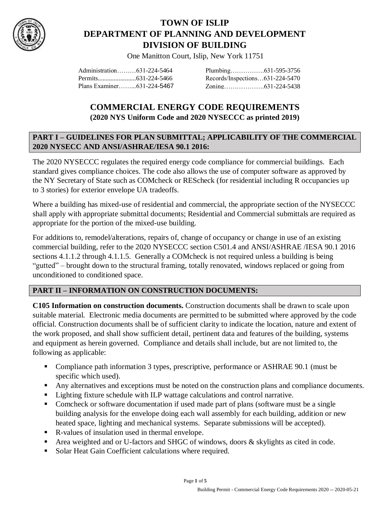

# **TOWN OF ISLIP DEPARTMENT OF PLANNING AND DEVELOPMENT DIVISION OF BUILDING**

One Manitton Court, Islip, New York 11751

| Administration631-224-5464 |                                 |  |
|----------------------------|---------------------------------|--|
|                            | Records/Inspections631-224-5470 |  |
| Plans Examiner631-224-5467 |                                 |  |

# **COMMERCIAL ENERGY CODE REQUIREMENTS (2020 NYS Uniform Code and 2020 NYSECCC as printed 2019)**

#### **PART I – GUIDELINES FOR PLAN SUBMITTAL; APPLICABILITY OF THE COMMERCIAL 2020 NYSECC AND ANSI/ASHRAE/IESA 90.1 2016:**

The 2020 NYSECCC regulates the required energy code compliance for commercial buildings. Each standard gives compliance choices. The code also allows the use of computer software as approved by the NY Secretary of State such as COMcheck or REScheck (for residential including R occupancies up to 3 stories) for exterior envelope UA tradeoffs.

Where a building has mixed-use of residential and commercial, the appropriate section of the NYSECCC shall apply with appropriate submittal documents; Residential and Commercial submittals are required as appropriate for the portion of the mixed-use building.

For additions to, remodel/alterations, repairs of, change of occupancy or change in use of an existing commercial building, refer to the 2020 NYSECCC section C501.4 and ANSI/ASHRAE /IESA 90.1 2016 sections 4.1.1.2 through 4.1.1.5. Generally a COMcheck is not required unless a building is being "gutted" – brought down to the structural framing, totally renovated, windows replaced or going from unconditioned to conditioned space.

#### **PART II – INFORMATION ON CONSTRUCTION DOCUMENTS:**

**C105 Information on construction documents.** Construction documents shall be drawn to scale upon suitable material. Electronic media documents are permitted to be submitted where approved by the code official. Construction documents shall be of sufficient clarity to indicate the location, nature and extent of the work proposed, and shall show sufficient detail, pertinent data and features of the building, systems and equipment as herein governed. Compliance and details shall include, but are not limited to, the following as applicable:

- Compliance path information 3 types, prescriptive, performance or ASHRAE 90.1 (must be specific which used).
- Any alternatives and exceptions must be noted on the construction plans and compliance documents.
- Lighting fixture schedule with ILP wattage calculations and control narrative.
- Comcheck or software documentation if used made part of plans (software must be a single building analysis for the envelope doing each wall assembly for each building, addition or new heated space, lighting and mechanical systems. Separate submissions will be accepted).
- R-values of insulation used in thermal envelope.
- Area weighted and or U-factors and SHGC of windows, doors  $\&$  skylights as cited in code.
- **Solar Heat Gain Coefficient calculations where required.**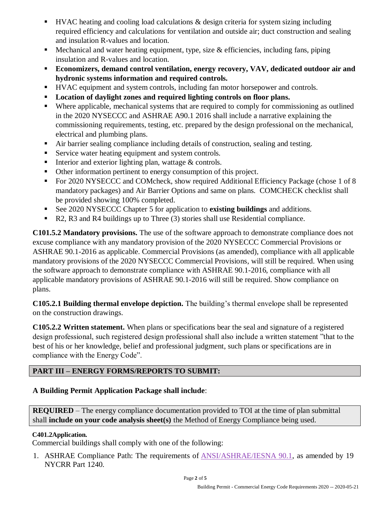- HVAC heating and cooling load calculations & design criteria for system sizing including required efficiency and calculations for ventilation and outside air; duct construction and sealing and insulation R-values and location.
- **Mechanical and water heating equipment, type, size**  $\&$  **efficiencies, including fans, piping** insulation and R-values and location.
- **Economizers, demand control ventilation, energy recovery, VAV, dedicated outdoor air and hydronic systems information and required controls.**
- HVAC equipment and system controls, including fan motor horsepower and controls.
- **Location of daylight zones and required lighting controls on floor plans.**
- Where applicable, mechanical systems that are required to comply for commissioning as outlined in the 2020 NYSECCC and ASHRAE A90.1 2016 shall include a narrative explaining the commissioning requirements, testing, etc. prepared by the design professional on the mechanical, electrical and plumbing plans.
- Air barrier sealing compliance including details of construction, sealing and testing.
- Service water heating equipment and system controls.
- Interior and exterior lighting plan, wattage & controls.
- Other information pertinent to energy consumption of this project.
- For 2020 NYSECCC and COMcheck, show required Additional Efficiency Package (chose 1 of 8 mandatory packages) and Air Barrier Options and same on plans. COMCHECK checklist shall be provided showing 100% completed.
- See 2020 NYSECCC Chapter 5 for application to **existing buildings** and additions.
- R2, R3 and R4 buildings up to Three (3) stories shall use Residential compliance.

**C101.5.2 Mandatory provisions.** The use of the software approach to demonstrate compliance does not excuse compliance with any mandatory provision of the 2020 NYSECCC Commercial Provisions or ASHRAE 90.1-2016 as applicable. Commercial Provisions (as amended), compliance with all applicable mandatory provisions of the 2020 NYSECCC Commercial Provisions, will still be required. When using the software approach to demonstrate compliance with ASHRAE 90.1-2016, compliance with all applicable mandatory provisions of ASHRAE 90.1-2016 will still be required. Show compliance on plans.

**C105.2.1 Building thermal envelope depiction.** The building's thermal envelope shall be represented on the construction drawings.

**C105.2.2 Written statement.** When plans or specifications bear the seal and signature of a registered design professional, such registered design professional shall also include a written statement "that to the best of his or her knowledge, belief and professional judgment, such plans or specifications are in compliance with the Energy Code".

# **PART III – ENERGY FORMS/REPORTS TO SUBMIT:**

### **A Building Permit Application Package shall include**:

**REQUIRED** – The energy compliance documentation provided to TOI at the time of plan submittal shall **include on your code analysis sheet(s)** the Method of Energy Compliance being used.

#### **C401.2Application.**

Commercial buildings shall comply with one of the following:

1. ASHRAE Compliance Path: The requirements of [ANSI/ASHRAE/IESNA 90.1,](https://codes.iccsafe.org/lookup/NYSECC2020P1_CE_Ch06_PromIES_RefStdANSI_ASHRAE_IESNA_90_1_2016) as amended by 19 NYCRR Part 1240.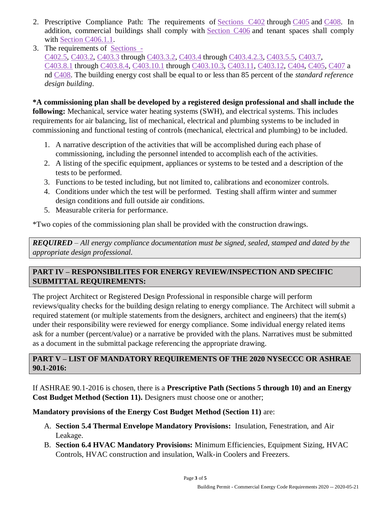- 2. Prescriptive Compliance Path: The requirements of [Sections C402](https://codes.iccsafe.org/lookup/NYSECC2020P1_CE_Ch04_SecC402) through [C405](https://codes.iccsafe.org/lookup/NYSECC2020P1_CE_Ch04_SecC405) and [C408.](https://codes.iccsafe.org/lookup/NYSECC2020P1_CE_Ch04_SecC408) In addition, commercial buildings shall comply with [Section C406](https://codes.iccsafe.org/lookup/NYSECC2020P1_CE_Ch04_SecC406) and tenant spaces shall comply with [Section C406.1.1.](https://codes.iccsafe.org/lookup/NYSECC2020P1_CE_Ch04_SecC406.1.1)
- 3. The requirements of [Sections -](https://codes.iccsafe.org/lookup/NYSECC2020P1_CE_Ch04_SecC402.5) [C402.5,](https://codes.iccsafe.org/lookup/NYSECC2020P1_CE_Ch04_SecC402.5) [C403.2,](https://codes.iccsafe.org/lookup/NYSECC2020P1_CE_Ch04_SecC403.2) [C403.3](https://codes.iccsafe.org/lookup/NYSECC2020P1_CE_Ch04_SecC403.3) through [C403.3.2,](https://codes.iccsafe.org/lookup/NYSECC2020P1_CE_Ch04_SecC403.3.2) [C403.4](https://codes.iccsafe.org/lookup/NYSECC2020P1_CE_Ch04_SecC403.4) through [C403.4.2.3,](https://codes.iccsafe.org/lookup/NYSECC2020P1_CE_Ch04_SecC403.4.2.3) [C403.5.5,](https://codes.iccsafe.org/lookup/NYSECC2020P1_CE_Ch04_SecC403.5.5) [C403.7,](https://codes.iccsafe.org/lookup/NYSECC2020P1_CE_Ch04_SecC403.7) [C403.8.1](https://codes.iccsafe.org/lookup/NYSECC2020P1_CE_Ch04_SecC403.8.1) through [C403.8.4,](https://codes.iccsafe.org/lookup/NYSECC2020P1_CE_Ch04_SecC403.8.4) [C403.10.1](https://codes.iccsafe.org/lookup/NYSECC2020P1_CE_Ch04_SecC403.10.1) through [C403.10.3,](https://codes.iccsafe.org/lookup/NYSECC2020P1_CE_Ch04_SecC403.10.3) [C403.11,](https://codes.iccsafe.org/lookup/NYSECC2020P1_CE_Ch04_SecC403.11) [C403.12,](https://codes.iccsafe.org/lookup/NYSECC2020P1_CE_Ch04_SecC403.12) [C404,](https://codes.iccsafe.org/lookup/NYSECC2020P1_CE_Ch04_SecC404) [C405,](https://codes.iccsafe.org/lookup/NYSECC2020P1_CE_Ch04_SecC405) [C407](https://codes.iccsafe.org/lookup/NYSECC2020P1_CE_Ch04_SecC407) a nd [C408.](https://codes.iccsafe.org/lookup/NYSECC2020P1_CE_Ch04_SecC408) The building energy cost shall be equal to or less than 85 percent of the *standard reference design building*.

**\*A commissioning plan shall be developed by a registered design professional and shall include the following:** Mechanical, service water heating systems (SWH), and electrical systems. This includes requirements for air balancing, list of mechanical, electrical and plumbing systems to be included in commissioning and functional testing of controls (mechanical, electrical and plumbing) to be included.

- 1. A narrative description of the activities that will be accomplished during each phase of commissioning, including the personnel intended to accomplish each of the activities.
- 2. A listing of the specific equipment, appliances or systems to be tested and a description of the tests to be performed.
- 3. Functions to be tested including, but not limited to, calibrations and economizer controls.
- 4. Conditions under which the test will be performed. Testing shall affirm winter and summer design conditions and full outside air conditions.
- 5. Measurable criteria for performance.

\*Two copies of the commissioning plan shall be provided with the construction drawings.

*REQUIRED – All energy compliance documentation must be signed, sealed, stamped and dated by the appropriate design professional.* 

#### **PART IV – RESPONSIBILITES FOR ENERGY REVIEW/INSPECTION AND SPECIFIC SUBMITTAL REQUIREMENTS:**  I

The project Architect or Registered Design Professional in responsible charge will perform reviews/quality checks for the building design relating to energy compliance. The Architect will submit a required statement (or multiple statements from the designers, architect and engineers) that the item(s) under their responsibility were reviewed for energy compliance. Some individual energy related items ask for a number (percent/value) or a narrative be provided with the plans. Narratives must be submitted as a document in the submittal package referencing the appropriate drawing. Ī

### **PART V – LIST OF MANDATORY REQUIREMENTS OF THE 2020 NYSECCC OR ASHRAE 90.1-2016:**

If ASHRAE 90.1-2016 is chosen, there is a **Prescriptive Path (Sections 5 through 10) and an Energy Cost Budget Method (Section 11).** Designers must choose one or another;

**Mandatory provisions of the Energy Cost Budget Method (Section 11)** are:

- A. **Section 5.4 Thermal Envelope Mandatory Provisions:** Insulation, Fenestration, and Air Leakage.
- B. **Section 6.4 HVAC Mandatory Provisions:** Minimum Efficiencies, Equipment Sizing, HVAC Controls, HVAC construction and insulation, Walk-in Coolers and Freezers.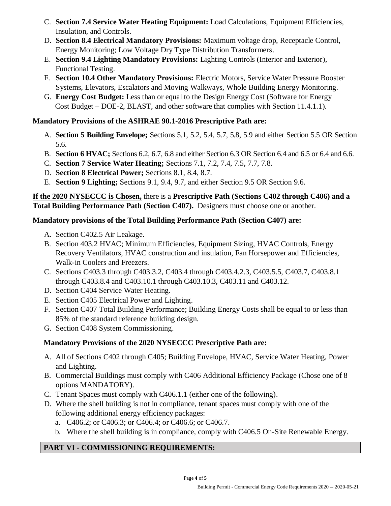- C. **Section 7.4 Service Water Heating Equipment:** Load Calculations, Equipment Efficiencies, Insulation, and Controls.
- D. **Section 8.4 Electrical Mandatory Provisions:** Maximum voltage drop, Receptacle Control, Energy Monitoring; Low Voltage Dry Type Distribution Transformers.
- E. **Section 9.4 Lighting Mandatory Provisions:** Lighting Controls (Interior and Exterior), Functional Testing.
- F. **Section 10.4 Other Mandatory Provisions:** Electric Motors, Service Water Pressure Booster Systems, Elevators, Escalators and Moving Walkways, Whole Building Energy Monitoring.
- G. **Energy Cost Budget:** Less than or equal to the Design Energy Cost (Software for Energy Cost Budget – DOE-2, BLAST, and other software that complies with Section 11.4.1.1).

## **Mandatory Provisions of the ASHRAE 90.1-2016 Prescriptive Path are:**

- A. **Section 5 Building Envelope;** Sections 5.1, 5.2, 5.4, 5.7, 5.8, 5.9 and either Section 5.5 OR Section 5.6.
- B. **Section 6 HVAC;** Sections 6.2, 6.7, 6.8 and either Section 6.3 OR Section 6.4 and 6.5 or 6.4 and 6.6.
- C. **Section 7 Service Water Heating;** Sections 7.1, 7.2, 7.4, 7.5, 7.7, 7.8.
- D. **Section 8 Electrical Power;** Sections 8.1, 8.4, 8.7.
- E. **Section 9 Lighting;** Sections 9.1, 9.4, 9.7, and either Section 9.5 OR Section 9.6.

### **If the 2020 NYSECCC is Chosen,** there is a **Prescriptive Path (Sections C402 through C406) and a Total Building Performance Path (Section C407).** Designers must choose one or another.

## **Mandatory provisions of the Total Building Performance Path (Section C407) are:**

- A. Section C402.5 Air Leakage.
- B. Section 403.2 HVAC; Minimum Efficiencies, Equipment Sizing, HVAC Controls, Energy Recovery Ventilators, HVAC construction and insulation, Fan Horsepower and Efficiencies, Walk-in Coolers and Freezers.
- C. Sections C403.3 through C403.3.2, C403.4 through C403.4.2.3, C403.5.5, C403.7, C403.8.1 through C403.8.4 and C403.10.1 through C403.10.3, C403.11 and C403.12.
- D. Section C404 Service Water Heating.
- E. Section C405 Electrical Power and Lighting.
- F. Section C407 Total Building Performance; Building Energy Costs shall be equal to or less than 85% of the standard reference building design.
- G. Section C408 System Commissioning.

# **Mandatory Provisions of the 2020 NYSECCC Prescriptive Path are:**

- A. All of Sections C402 through C405; Building Envelope, HVAC, Service Water Heating, Power and Lighting.
- B. Commercial Buildings must comply with C406 Additional Efficiency Package (Chose one of 8 options MANDATORY).
- C. Tenant Spaces must comply with C406.1.1 (either one of the following).
- D. Where the shell building is not in compliance, tenant spaces must comply with one of the following additional energy efficiency packages:
	- a. C406.2; or C406.3; or C406.4; or C406.6; or C406.7.
	- b. Where the shell building is in compliance, comply with C406.5 On-Site Renewable Energy.

# **PART VI - COMMISSIONING REQUIREMENTS:**